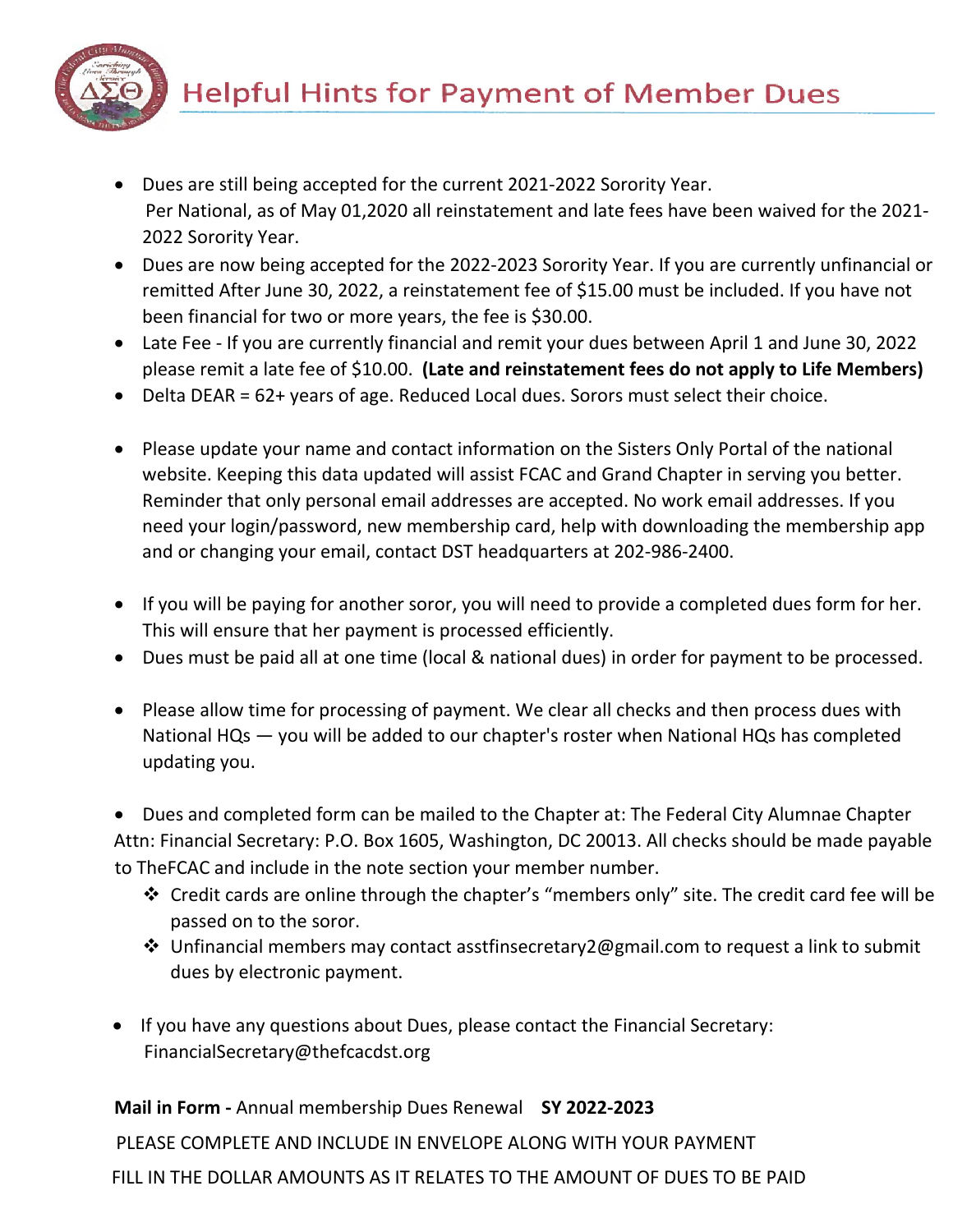

- Dues are still being accepted for the current 2021-2022 Sorority Year. Per National, as of May 01,2020 all reinstatement and late fees have been waived for the 2021- 2022 Sorority Year.
- Dues are now being accepted for the 2022-2023 Sorority Year. If you are currently unfinancial or remitted After June 30, 2022, a reinstatement fee of \$15.00 must be included. If you have not been financial for two or more years, the fee is \$30.00.
- Late Fee If you are currently financial and remit your dues between April 1 and June 30, 2022 please remit a late fee of \$10.00. **(Late and reinstatement fees do not apply to Life Members)**
- Delta DEAR = 62+ years of age. Reduced Local dues. Sorors must select their choice.
- Please update your name and contact information on the Sisters Only Portal of the national website. Keeping this data updated will assist FCAC and Grand Chapter in serving you better. Reminder that only personal email addresses are accepted. No work email addresses. If you need your login/password, new membership card, help with downloading the membership app and or changing your email, contact DST headquarters at 202-986-2400.
- If you will be paying for another soror, you will need to provide a completed dues form for her. This will ensure that her payment is processed efficiently.
- Dues must be paid all at one time (local & national dues) in order for payment to be processed.
- Please allow time for processing of payment. We clear all checks and then process dues with National HQs — you will be added to our chapter's roster when National HQs has completed updating you.

• Dues and completed form can be mailed to the Chapter at: The Federal City Alumnae Chapter Attn: Financial Secretary: P.O. Box 1605, Washington, DC 20013. All checks should be made payable to TheFCAC and include in the note section your member number.

- Credit cards are online through the chapter's "members only" site. The credit card fee will be passed on to the soror.
- $\cdot$  Unfinancial members may contact asstfinsecretary 2@gmail.com to request a link to submit dues by electronic payment.
- If you have any questions about Dues, please contact the Financial Secretary: FinancialSecretary@thefcacdst.org

**Mail in Form -** Annual membership Dues Renewal **SY 2022-2023**

PLEASE COMPLETE AND INCLUDE IN ENVELOPE ALONG WITH YOUR PAYMENT

FILL IN THE DOLLAR AMOUNTS AS IT RELATES TO THE AMOUNT OF DUES TO BE PAID